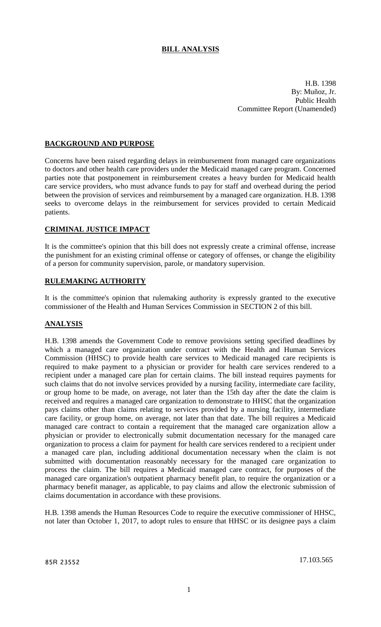## **BILL ANALYSIS**

H.B. 1398 By: Muñoz, Jr. Public Health Committee Report (Unamended)

## **BACKGROUND AND PURPOSE**

Concerns have been raised regarding delays in reimbursement from managed care organizations to doctors and other health care providers under the Medicaid managed care program. Concerned parties note that postponement in reimbursement creates a heavy burden for Medicaid health care service providers, who must advance funds to pay for staff and overhead during the period between the provision of services and reimbursement by a managed care organization. H.B. 1398 seeks to overcome delays in the reimbursement for services provided to certain Medicaid patients.

### **CRIMINAL JUSTICE IMPACT**

It is the committee's opinion that this bill does not expressly create a criminal offense, increase the punishment for an existing criminal offense or category of offenses, or change the eligibility of a person for community supervision, parole, or mandatory supervision.

### **RULEMAKING AUTHORITY**

It is the committee's opinion that rulemaking authority is expressly granted to the executive commissioner of the Health and Human Services Commission in SECTION 2 of this bill.

### **ANALYSIS**

H.B. 1398 amends the Government Code to remove provisions setting specified deadlines by which a managed care organization under contract with the Health and Human Services Commission (HHSC) to provide health care services to Medicaid managed care recipients is required to make payment to a physician or provider for health care services rendered to a recipient under a managed care plan for certain claims. The bill instead requires payments for such claims that do not involve services provided by a nursing facility, intermediate care facility, or group home to be made, on average, not later than the 15th day after the date the claim is received and requires a managed care organization to demonstrate to HHSC that the organization pays claims other than claims relating to services provided by a nursing facility, intermediate care facility, or group home, on average, not later than that date. The bill requires a Medicaid managed care contract to contain a requirement that the managed care organization allow a physician or provider to electronically submit documentation necessary for the managed care organization to process a claim for payment for health care services rendered to a recipient under a managed care plan, including additional documentation necessary when the claim is not submitted with documentation reasonably necessary for the managed care organization to process the claim. The bill requires a Medicaid managed care contract, for purposes of the managed care organization's outpatient pharmacy benefit plan, to require the organization or a pharmacy benefit manager, as applicable, to pay claims and allow the electronic submission of claims documentation in accordance with these provisions.

H.B. 1398 amends the Human Resources Code to require the executive commissioner of HHSC, not later than October 1, 2017, to adopt rules to ensure that HHSC or its designee pays a claim